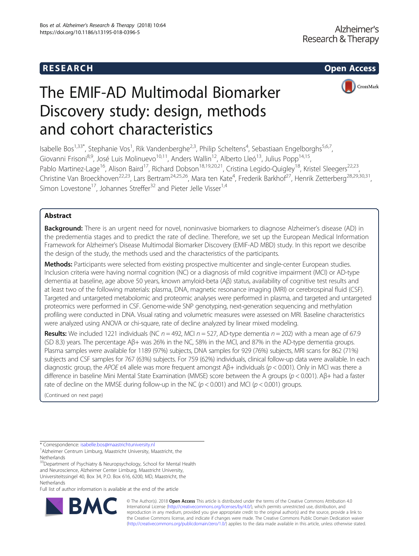## **RESEARCH CHILD CONTROL** CONTROL CONTROL CONTROL CONTROL CONTROL CONTROL CONTROL CONTROL CONTROL CONTROL CONTROL CONTROL CONTROL CONTROL CONTROL CONTROL CONTROL CONTROL CONTROL CONTROL CONTROL CONTROL CONTROL CONTROL CONTR



# The EMIF-AD Multimodal Biomarker Discovery study: design, methods and cohort characteristics

Isabelle Bos<sup>1,33\*</sup>, Stephanie Vos<sup>1</sup>, Rik Vandenberghe<sup>2,3</sup>, Philip Scheltens<sup>4</sup>, Sebastiaan Engelborghs<sup>5,6,7</sup>, Giovanni Frisoni<sup>8,9</sup>, José Luis Molinuevo<sup>10,11</sup>, Anders Wallin<sup>12</sup>, Alberto Lleó<sup>13</sup>, Julius Popp<sup>14,15</sup>, Pablo Martinez-Lage<sup>16</sup>, Alison Baird<sup>17</sup>, Richard Dobson<sup>18,19,20,21</sup>, Cristina Legido-Quigley<sup>18</sup>, Kristel Sleegers<sup>22,23</sup>, Christine Van Broeckhoven<sup>22,23</sup>, Lars Bertram<sup>24,25,26</sup>, Mara ten Kate<sup>4</sup>, Frederik Barkhof<sup>27</sup>, Henrik Zetterberg<sup>28,29,30,31</sup>, Simon Lovestone<sup>17</sup>, Johannes Streffer<sup>32</sup> and Pieter Jelle Visser<sup>1,4</sup>

## Abstract

Background: There is an urgent need for novel, noninvasive biomarkers to diagnose Alzheimer's disease (AD) in the predementia stages and to predict the rate of decline. Therefore, we set up the European Medical Information Framework for Alzheimer's Disease Multimodal Biomarker Discovery (EMIF-AD MBD) study. In this report we describe the design of the study, the methods used and the characteristics of the participants.

Methods: Participants were selected from existing prospective multicenter and single-center European studies. Inclusion criteria were having normal cognition (NC) or a diagnosis of mild cognitive impairment (MCI) or AD-type dementia at baseline, age above 50 years, known amyloid-beta (Aβ) status, availability of cognitive test results and at least two of the following materials: plasma, DNA, magnetic resonance imaging (MRI) or cerebrospinal fluid (CSF). Targeted and untargeted metabolomic and proteomic analyses were performed in plasma, and targeted and untargeted proteomics were performed in CSF. Genome-wide SNP genotyping, next-generation sequencing and methylation profiling were conducted in DNA. Visual rating and volumetric measures were assessed on MRI. Baseline characteristics were analyzed using ANOVA or chi-square, rate of decline analyzed by linear mixed modeling.

Results: We included 1221 individuals (NC  $n = 492$ , MCI  $n = 527$ , AD-type dementia  $n = 202$ ) with a mean age of 67.9 (SD 8.3) years. The percentage Aβ+ was 26% in the NC, 58% in the MCI, and 87% in the AD-type dementia groups. Plasma samples were available for 1189 (97%) subjects, DNA samples for 929 (76%) subjects, MRI scans for 862 (71%) subjects and CSF samples for 767 (63%) subjects. For 759 (62%) individuals, clinical follow-up data were available. In each diagnostic group, the APOE  $\varepsilon$ 4 allele was more frequent amongst A $\beta$ + individuals ( $p$  < 0.001). Only in MCI was there a difference in baseline Mini Mental State Examination (MMSE) score between the A groups (p < 0.001). Aβ+ had a faster rate of decline on the MMSE during follow-up in the NC ( $p < 0.001$ ) and MCI ( $p < 0.001$ ) groups.

(Continued on next page)

\* Correspondence: [isabelle.bos@maastrichtuniversity.nl](mailto:isabelle.bos@maastrichtuniversity.nl) <sup>1</sup>

<sup>33</sup>Department of Psychiatry & Neuropsychology, School for Mental Health and Neuroscience, Alzheimer Center Limburg, Maastricht University, Universiteitssingel 40, Box 34, P.O. Box 616, 6200, MD, Maastricht, the

**Netherlands** 

Full list of author information is available at the end of the article



© The Author(s). 2018 Open Access This article is distributed under the terms of the Creative Commons Attribution 4.0 International License [\(http://creativecommons.org/licenses/by/4.0/](http://creativecommons.org/licenses/by/4.0/)), which permits unrestricted use, distribution, and reproduction in any medium, provided you give appropriate credit to the original author(s) and the source, provide a link to the Creative Commons license, and indicate if changes were made. The Creative Commons Public Domain Dedication waiver [\(http://creativecommons.org/publicdomain/zero/1.0/](http://creativecommons.org/publicdomain/zero/1.0/)) applies to the data made available in this article, unless otherwise stated.

Alzheimer Centrum Limburg, Maastricht University, Maastricht, the Netherlands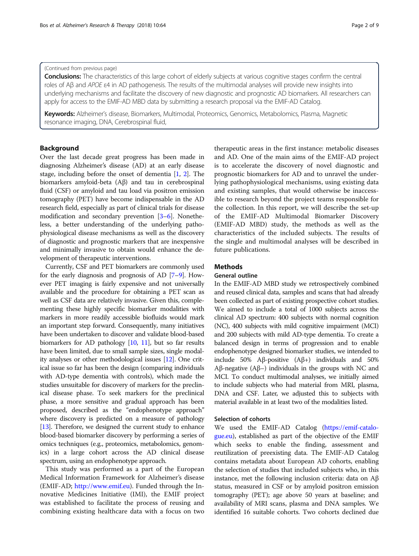## (Continued from previous page)

Conclusions: The characteristics of this large cohort of elderly subjects at various cognitive stages confirm the central roles of Aβ and APOE ε4 in AD pathogenesis. The results of the multimodal analyses will provide new insights into underlying mechanisms and facilitate the discovery of new diagnostic and prognostic AD biomarkers. All researchers can apply for access to the EMIF-AD MBD data by submitting a research proposal via the EMIF-AD Catalog.

Keywords: Alzheimer's disease, Biomarkers, Multimodal, Proteomics, Genomics, Metabolomics, Plasma, Magnetic resonance imaging, DNA, Cerebrospinal fluid,

## Background

Over the last decade great progress has been made in diagnosing Alzheimer's disease (AD) at an early disease stage, including before the onset of dementia [\[1,](#page-7-0) [2\]](#page-7-0). The biomarkers amyloid-beta (Aβ) and tau in cerebrospinal fluid (CSF) or amyloid and tau load via positron emission tomography (PET) have become indispensable in the AD research field, especially as part of clinical trials for disease modification and secondary prevention [\[3](#page-7-0)–[6](#page-7-0)]. Nonetheless, a better understanding of the underlying pathophysiological disease mechanisms as well as the discovery of diagnostic and prognostic markers that are inexpensive and minimally invasive to obtain would enhance the development of therapeutic interventions.

Currently, CSF and PET biomarkers are commonly used for the early diagnosis and prognosis of AD [[7](#page-7-0)–[9\]](#page-7-0). However PET imaging is fairly expensive and not universally available and the procedure for obtaining a PET scan as well as CSF data are relatively invasive. Given this, complementing these highly specific biomarker modalities with markers in more readily accessible biofluids would mark an important step forward. Consequently, many initiatives have been undertaken to discover and validate blood-based biomarkers for AD pathology [\[10](#page-7-0), [11](#page-7-0)], but so far results have been limited, due to small sample sizes, single modality analyses or other methodological issues [\[12\]](#page-7-0). One critical issue so far has been the design (comparing individuals with AD-type dementia with controls), which made the studies unsuitable for discovery of markers for the preclinical disease phase. To seek markers for the preclinical phase, a more sensitive and gradual approach has been proposed, described as the "endophenotype approach" where discovery is predicted on a measure of pathology [[13](#page-7-0)]. Therefore, we designed the current study to enhance blood-based biomarker discovery by performing a series of omics techniques (e.g., proteomics, metabolomics, genomics) in a large cohort across the AD clinical disease spectrum, using an endophenotype approach.

This study was performed as a part of the European Medical Information Framework for Alzheimer's disease (EMIF-AD; [http://www.emif.eu\)](http://www.emif.eu). Funded through the Innovative Medicines Initiative (IMI), the EMIF project was established to facilitate the process of reusing and combining existing healthcare data with a focus on two therapeutic areas in the first instance: metabolic diseases and AD. One of the main aims of the EMIF-AD project is to accelerate the discovery of novel diagnostic and prognostic biomarkers for AD and to unravel the underlying pathophysiological mechanisms, using existing data and existing samples, that would otherwise be inaccessible to research beyond the project teams responsible for the collection. In this report, we will describe the set-up of the EMIF-AD Multimodal Biomarker Discovery (EMIF-AD MBD) study, the methods as well as the characteristics of the included subjects. The results of the single and multimodal analyses will be described in future publications.

## Methods

#### General outline

In the EMIF-AD MBD study we retrospectively combined and reused clinical data, samples and scans that had already been collected as part of existing prospective cohort studies. We aimed to include a total of 1000 subjects across the clinical AD spectrum: 400 subjects with normal cognition (NC), 400 subjects with mild cognitive impairment (MCI) and 200 subjects with mild AD-type dementia. To create a balanced design in terms of progression and to enable endophenotype designed biomarker studies, we intended to include 50% Aβ-positive (Aβ+) individuals and 50% Aβ-negative (Aβ–) individuals in the groups with NC and MCI. To conduct multimodal analyses, we initially aimed to include subjects who had material from MRI, plasma, DNA and CSF. Later, we adjusted this to subjects with material available in at least two of the modalities listed.

#### Selection of cohorts

We used the EMIF-AD Catalog [\(https://emif-catalo](https://emif-catalogue.eu)[gue.eu](https://emif-catalogue.eu)), established as part of the objective of the EMIF which seeks to enable the finding, assessment and reutilization of preexisting data. The EMIF-AD Catalog contains metadata about European AD cohorts, enabling the selection of studies that included subjects who, in this instance, met the following inclusion criteria: data on Aβ status, measured in CSF or by amyloid positron emission tomography (PET); age above 50 years at baseline; and availability of MRI scans, plasma and DNA samples. We identified 16 suitable cohorts. Two cohorts declined due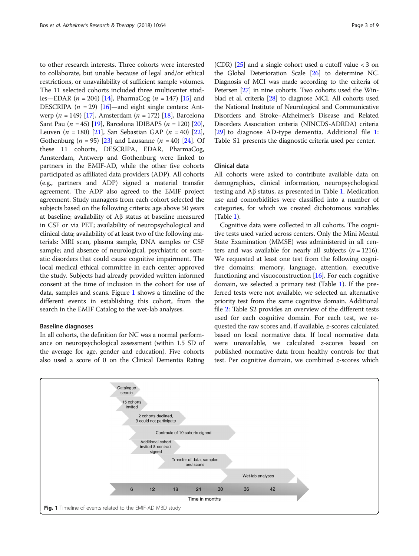to other research interests. Three cohorts were interested to collaborate, but unable because of legal and/or ethical restrictions, or unavailability of sufficient sample volumes. The 11 selected cohorts included three multicenter studies—EDAR ( $n = 204$ ) [[14](#page-7-0)], PharmaCog ( $n = 147$ ) [[15](#page-7-0)] and DESCRIPA ( $n = 29$ ) [[16](#page-7-0)]—and eight single centers: Antwerp ( $n = 149$ ) [\[17\]](#page-7-0), Amsterdam ( $n = 172$ ) [\[18\]](#page-7-0), Barcelona Sant Pau  $(n = 45)$  [\[19\]](#page-7-0), Barcelona IDIBAPS  $(n = 120)$  $(n = 120)$  $(n = 120)$  [20], Leuven (*n* = 180) [\[21\]](#page-7-0), San Sebastian GAP (*n* = 40) [[22](#page-8-0)], Gothenburg ( $n = 95$ ) [\[23\]](#page-8-0) and Lausanne ( $n = 40$ ) [[24\]](#page-8-0). Of these 11 cohorts, DESCRIPA, EDAR, PharmaCog, Amsterdam, Antwerp and Gothenburg were linked to partners in the EMIF-AD, while the other five cohorts participated as affiliated data providers (ADP). All cohorts (e.g., partners and ADP) signed a material transfer agreement. The ADP also agreed to the EMIF project agreement. Study managers from each cohort selected the subjects based on the following criteria: age above 50 years at baseline; availability of Aβ status at baseline measured in CSF or via PET; availability of neuropsychological and clinical data; availability of at least two of the following materials: MRI scan, plasma sample, DNA samples or CSF sample; and absence of neurological, psychiatric or somatic disorders that could cause cognitive impairment. The local medical ethical committee in each center approved the study. Subjects had already provided written informed consent at the time of inclusion in the cohort for use of data, samples and scans. Figure 1 shows a timeline of the different events in establishing this cohort, from the search in the EMIF Catalog to the wet-lab analyses.

#### Baseline diagnoses

In all cohorts, the definition for NC was a normal performance on neuropsychological assessment (within 1.5 SD of the average for age, gender and education). Five cohorts also used a score of 0 on the Clinical Dementia Rating (CDR) [\[25\]](#page-8-0) and a single cohort used a cutoff value < 3 on the Global Deterioration Scale [[26\]](#page-8-0) to determine NC. Diagnosis of MCI was made according to the criteria of Petersen [\[27\]](#page-8-0) in nine cohorts. Two cohorts used the Winblad et al. criteria [\[28\]](#page-8-0) to diagnose MCI. All cohorts used the National Institute of Neurological and Communicative Disorders and Stroke–Alzheimer's Disease and Related Disorders Association criteria (NINCDS-ADRDA) criteria [[29](#page-8-0)] to diagnose AD-type dementia. Additional file [1](#page-6-0): Table S1 presents the diagnostic criteria used per center.

## Clinical data

All cohorts were asked to contribute available data on demographics, clinical information, neuropsychological testing and Aβ status, as presented in Table [1](#page-3-0). Medication use and comorbidities were classified into a number of categories, for which we created dichotomous variables (Table [1\)](#page-3-0).

Cognitive data were collected in all cohorts. The cognitive tests used varied across centers. Only the Mini Mental State Examination (MMSE) was administered in all centers and was available for nearly all subjects  $(n = 1216)$ . We requested at least one test from the following cognitive domains: memory, language, attention, executive functioning and visuoconstruction  $[16]$  $[16]$ . For each cognitive domain, we selected a primary test (Table [1\)](#page-3-0). If the preferred tests were not available, we selected an alternative priority test from the same cognitive domain. Additional file [2:](#page-6-0) Table S2 provides an overview of the different tests used for each cognitive domain. For each test, we requested the raw scores and, if available, z-scores calculated based on local normative data. If local normative data were unavailable, we calculated z-scores based on published normative data from healthy controls for that test. Per cognitive domain, we combined z-scores which

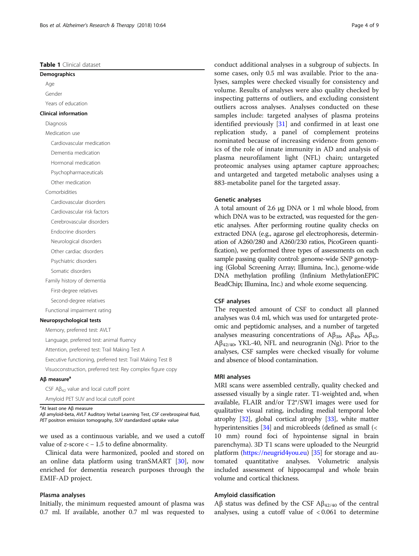## <span id="page-3-0"></span>Table 1 Clinical dataset

| Demographics                                               |
|------------------------------------------------------------|
| Age                                                        |
| Gender                                                     |
| Years of education                                         |
| <b>Clinical information</b>                                |
| Diagnosis                                                  |
| Medication use                                             |
| Cardiovascular medication                                  |
| Dementia medication                                        |
| Hormonal medication                                        |
| Psychopharmaceuticals                                      |
| Other medication                                           |
| Comorbidities                                              |
| Cardiovascular disorders                                   |
| Cardiovascular risk factors                                |
| Cerebrovascular disorders                                  |
| Endocrine disorders                                        |
| Neurological disorders                                     |
| Other cardiac disorders                                    |
| Psychiatric disorders                                      |
| Somatic disorders                                          |
| Family history of dementia                                 |
| First-degree relatives                                     |
| Second-degree relatives                                    |
| Functional impairment rating                               |
| Neuropsychological tests                                   |
| Memory, preferred test: AVLT                               |
| Language, preferred test: animal fluency                   |
| Attention, preferred test: Trail Making Test A             |
| Executive functioning, preferred test: Trail Making Test B |
| Visuoconstruction, preferred test: Rey complex figure copy |
| $A\beta$ measure <sup>a</sup>                              |
| CSF $A\beta_{42}$ value and local cutoff point             |

Amyloid PET SUV and local cutoff point

<sup>a</sup>At least one Aβ measure

Aβ amyloid-beta, AVLT Auditory Verbal Learning Test, CSF cerebrospinal fluid, PET positron emission tomography, SUV standardized uptake value

we used as a continuous variable, and we used a cutoff value of  $z$ -score  $<-1.5$  to define abnormality.

Clinical data were harmonized, pooled and stored on an online data platform using tranSMART [[30](#page-8-0)], now enriched for dementia research purposes through the EMIF-AD project.

## Plasma analyses

Initially, the minimum requested amount of plasma was 0.7 ml. If available, another 0.7 ml was requested to conduct additional analyses in a subgroup of subjects. In some cases, only 0.5 ml was available. Prior to the analyses, samples were checked visually for consistency and volume. Results of analyses were also quality checked by inspecting patterns of outliers, and excluding consistent outliers across analyses. Analyses conducted on these samples include: targeted analyses of plasma proteins identified previously [[31\]](#page-8-0) and confirmed in at least one

replication study, a panel of complement proteins nominated because of increasing evidence from genomics of the role of innate immunity in AD and analysis of plasma neurofilament light (NFL) chain; untargeted proteomic analyses using aptamer capture approaches; and untargeted and targeted metabolic analyses using a 883-metabolite panel for the targeted assay.

#### Genetic analyses

A total amount of 2.6 μg DNA or 1 ml whole blood, from which DNA was to be extracted, was requested for the genetic analyses. After performing routine quality checks on extracted DNA (e.g., agarose gel electrophoresis, determination of A260/280 and A260/230 ratios, PicoGreen quantification), we performed three types of assessments on each sample passing quality control: genome-wide SNP genotyping (Global Screening Array; Illumina, Inc.), genome-wide DNA methylation profiling (Infinium MethylationEPIC BeadChip; Illumina, Inc.) and whole exome sequencing.

## CSF analyses

The requested amount of CSF to conduct all planned analyses was 0.4 ml, which was used for untargeted proteomic and peptidomic analyses, and a number of targeted analyses measuring concentrations of  $Aβ_{38}$ ,  $Aβ_{40}$ ,  $Aβ_{42}$ , Aβ<sub>42/40</sub>, YKL-40, NFL and neurogranin (Ng). Prior to the analyses, CSF samples were checked visually for volume and absence of blood contamination.

## MRI analyses

MRI scans were assembled centrally, quality checked and assessed visually by a single rater. T1-weighted and, when available, FLAIR and/or T2\*/SWI images were used for qualitative visual rating, including medial temporal lobe atrophy [\[32](#page-8-0)], global cortical atrophy [\[33](#page-8-0)], white matter hyperintensities [\[34](#page-8-0)] and microbleeds (defined as small (< 10 mm) round foci of hypointense signal in brain parenchyma). 3D T1 scans were uploaded to the Neurgrid platform [\(https://neugrid4you.eu](https://neugrid4you.eu)) [[35](#page-8-0)] for storage and automated quantitative analyses. Volumetric analysis included assessment of hippocampal and whole brain volume and cortical thickness.

## Amyloid classification

Aβ status was defined by the CSF Aβ<sub>42/40</sub> of the central analyses, using a cutoff value of  $< 0.061$  to determine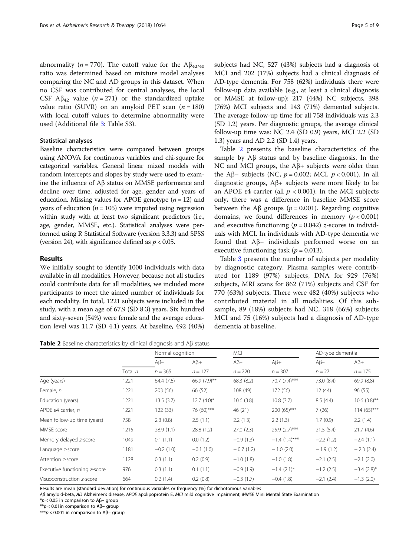abnormality (*n* = 770). The cutoff value for the  $A\beta_{42/40}$ ratio was determined based on mixture model analyses comparing the NC and AD groups in this dataset. When no CSF was contributed for central analyses, the local CSF A $\beta_{42}$  value (n = 271) or the standardized uptake value ratio (SUVR) on an amyloid PET scan  $(n = 180)$ with local cutoff values to determine abnormality were used (Additional file [3:](#page-6-0) Table S3).

## Statistical analyses

Baseline characteristics were compared between groups using ANOVA for continuous variables and chi-square for categorical variables. General linear mixed models with random intercepts and slopes by study were used to examine the influence of Aβ status on MMSE performance and decline over time, adjusted for age, gender and years of education. Missing values for APOE genotype  $(n = 12)$  and years of education ( $n = 105$ ) were imputed using regression within study with at least two significant predictors (i.e., age, gender, MMSE, etc.). Statistical analyses were performed using R Statistical Software (version 3.3.3) and SPSS (version 24), with significance defined as  $p < 0.05$ .

### Results

We initially sought to identify 1000 individuals with data available in all modalities. However, because not all studies could contribute data for all modalities, we included more participants to meet the aimed number of individuals for each modality. In total, 1221 subjects were included in the study, with a mean age of 67.9 (SD 8.3) years. Six hundred and sixty-seven (54%) were female and the average education level was 11.7 (SD 4.1) years. At baseline, 492 (40%)

Table 2 Baseline characteristics by clinical diagnosis and Aβ status

subjects had NC, 527 (43%) subjects had a diagnosis of MCI and 202 (17%) subjects had a clinical diagnosis of AD-type dementia. For 758 (62%) individuals there were follow-up data available (e.g., at least a clinical diagnosis or MMSE at follow-up): 217 (44%) NC subjects, 398 (76%) MCI subjects and 143 (71%) demented subjects. The average follow-up time for all 758 individuals was 2.3 (SD 1.2) years. Per diagnostic groups, the average clinical follow-up time was: NC 2.4 (SD 0.9) years, MCI 2.2 (SD 1.3) years and AD 2.2 (SD 1.4) years.

Table 2 presents the baseline characteristics of the sample by Aβ status and by baseline diagnosis. In the NC and MCI groups, the Aβ+ subjects were older than the Aβ– subjects (NC,  $p = 0.002$ ; MCI,  $p < 0.001$ ). In all diagnostic groups, Aβ+ subjects were more likely to be an APOE ε4 carrier (all  $p < 0.001$ ). In the MCI subjects only, there was a difference in baseline MMSE score between the Aβ groups ( $p = 0.001$ ). Regarding cognitive domains, we found differences in memory  $(p < 0.001)$ and executive functioning ( $p = 0.042$ ) z-scores in individuals with MCI. In individuals with AD-type dementia we found that Aβ+ individuals performed worse on an executive functioning task ( $p = 0.013$ ).

Table [3](#page-5-0) presents the number of subjects per modality by diagnostic category. Plasma samples were contributed for 1189 (97%) subjects, DNA for 929 (76%) subjects, MRI scans for 862 (71%) subjects and CSF for 770 (63%) subjects. There were 482 (40%) subjects who contributed material in all modalities. Of this subsample, 89 (18%) subjects had NC, 318 (66%) subjects MCI and 75 (16%) subjects had a diagnosis of AD-type dementia at baseline.

|                               |         | Normal cognition |               | <b>MCI</b>  |                           | AD-type dementia |                |  |
|-------------------------------|---------|------------------|---------------|-------------|---------------------------|------------------|----------------|--|
|                               |         | $A\beta-$        | $A\beta +$    | $AB-$       | $A\beta +$                | $AB-$            | $A\beta +$     |  |
|                               | Total n | $n = 365$        | $n = 127$     | $n = 220$   | $n = 307$                 | $n = 27$         | $n = 175$      |  |
| Age (years)                   | 1221    | 64.4 (7.6)       | 66.9 (7.9)**  | 68.3 (8.2)  | 70.7 (7.4)***             | 73.0 (8.4)       | 69.9(8.8)      |  |
| Female, n                     | 1221    | 203 (56)         | 66 (52)       | 108 (49)    | 172 (56)                  | 12(44)           | 96 (55)        |  |
| Education (years)             | 1221    | 13.5(3.7)        | $12.7(4.0)$ * | 10.6(3.8)   | 10.8(3.7)                 | 8.5(4.4)         | $10.6(3.8)$ ** |  |
| APOE ε4 carrier, n            | 1221    | 122 (33)         | 76 (60)***    | 46 (21)     | $200(65)$ ***             | 7(26)            | $114(65)$ ***  |  |
| Mean follow-up time (years)   | 758     | 2.3(0.8)         | 2.5(1.1)      | 2.2(1.3)    | 2.2(1.3)                  | 1.7(0.9)         | 2.2(1.4)       |  |
| MMSE score                    | 1215    | 28.9(1.1)        | 28.8(1.2)     | 27.0(2.3)   | 25.9 (2.7)***             | 21.5(5.4)        | 21.7(4.6)      |  |
| Memory delayed z-score        | 1049    | 0.1(1.1)         | 0.0(1.2)      | $-0.9(1.3)$ | $-1.4(1.4)$ ***           | $-2.2(1.2)$      | $-2.4(1.1)$    |  |
| Language z-score              | 1181    | $-0.2(1.0)$      | $-0.1(1.0)$   | $-0.7(1.2)$ | $-1.0(2.0)$               | $-1.9(1.2)$      | $-2.3(2.4)$    |  |
| Attention z-score             | 1128    | 0.3(1.1)         | 0.2(0.9)      | $-1.0(1.8)$ | $-1.0(1.8)$               | $-2.1(2.5)$      | $-2.1$ (2.0)   |  |
| Executive functioning z-score | 976     | 0.3(1.1)         | 0.1(1.1)      | $-0.9(1.9)$ | $-1.4$ (2.1) <sup>*</sup> | $-1.2$ (2.5)     | $-3.4$ (2.8)*  |  |
| Visuoconstruction z-score     | 664     | 0.2(1.4)         | 0.2(0.8)      | $-0.3(1.7)$ | $-0.4(1.8)$               | $-2.1(2.4)$      | $-1.3(2.0)$    |  |
|                               |         |                  |               |             |                           |                  |                |  |

Results are mean (standard deviation) for continuous variables or frequency (%) for dichotomous variables

Aβ amyloid-beta, AD Alzheimer's disease, APOE apolipoprotein E, MCI mild cognitive impairment, MMSE Mini Mental State Examination

 $*p$  < 0.05 in comparison to Aß– group

\*\*p < 0.01in comparison to Aβ– group

\*\*\*p < 0.001 in comparison to Aβ– group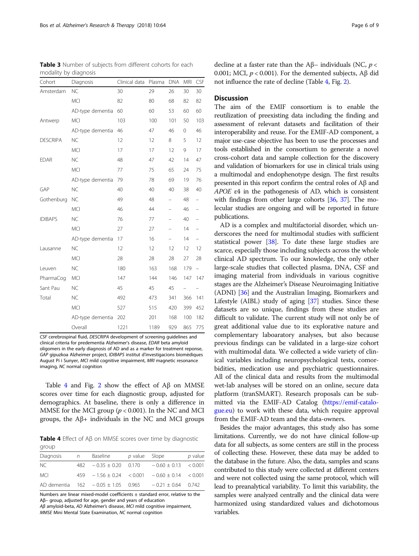CSF cerebrospinal fluid, DESCRIPA development of screening guidelines and clinical criteria for predementia Alzheimer's disease, EDAR beta amyloid oligomers in the early diagnosis of AD and as a marker for treatment reponse, GAP gipuzkoa Alzheimer project, IDIBAPS institut d'investigacions biomèdiques August Pi i Sunyer, MCI mild cognitive impairment, MRI magnetic resonance imaging, NC normal cognition

Table 4 and Fig. [2](#page-6-0) show the effect of  $\mathbf{A}\beta$  on MMSE scores over time for each diagnostic group, adjusted for demographics. At baseline, there is only a difference in MMSE for the MCI group ( $p < 0.001$ ). In the NC and MCI groups, the Aβ+ individuals in the NC and MCI groups

Table 4 Effect of Aβ on MMSE scores over time by diagnostic group

| <b>Diagnosis</b> | n | Baseline                                               | $p$ value Slope |                          | $p$ value |
|------------------|---|--------------------------------------------------------|-----------------|--------------------------|-----------|
| NC.              |   | $482 - 0.35 \pm 0.20$ 0.170                            |                 | $-0.60 \pm 0.13$ < 0.001 |           |
| <b>MCL</b>       |   | $459 - 1.56 \pm 0.24$ < 0.001 $-0.60 \pm 0.14$ < 0.001 |                 |                          |           |
|                  |   | AD dementia $162 -0.05 \pm 1.05$ 0.965                 |                 | $-0.21 + 0.64$ 0.742     |           |

Numbers are linear mixed-model coefficients ± standard error, relative to the Aβ– group, adjusted for age, gender and years of education Aβ amyloid-beta, AD Alzheimer's disease, MCI mild cognitive impairment, MMSE Mini Mental State Examination, NC normal cognition

| Cohort          | Diagnosis        | Clinical data | Plasma | <b>DNA</b>               | MRI                      | CSF                      |
|-----------------|------------------|---------------|--------|--------------------------|--------------------------|--------------------------|
| Amsterdam       | <b>NC</b>        | 30            | 29     | 26                       | 30                       | 30                       |
|                 | <b>MCI</b>       | 82            | 80     | 68                       | 82                       | 82                       |
|                 | AD-type dementia | 60            | 60     | 53                       | 60                       | 60                       |
| Antwerp         | <b>MCI</b>       | 103           | 100    | 101                      | 50                       | 103                      |
|                 | AD-type dementia | 46            | 47     | 46                       | 0                        | 46                       |
| <b>DESCRIPA</b> | <b>NC</b>        | 12            | 12     | 8                        | 5                        | 12                       |
|                 | <b>MCI</b>       | 17            | 17     | 12                       | 9                        | 17                       |
| <b>EDAR</b>     | <b>NC</b>        | 48            | 47     | 42                       | 14                       | 47                       |
|                 | <b>MCI</b>       | 77            | 75     | 65                       | 24                       | 75                       |
|                 | AD-type dementia | 79            | 78     | 69                       | 19                       | 76                       |
| GAP             | <b>NC</b>        | 40            | 40     | 40                       | 38                       | 40                       |
| Gothenburg      | <b>NC</b>        | 49            | 48     | -                        | 48                       | -                        |
|                 | <b>MCI</b>       | 46            | 44     |                          | 46                       | -                        |
| <b>IDIBAPS</b>  | <b>NC</b>        | 76            | 77     | -                        | 40                       | -                        |
|                 | <b>MCI</b>       | 27            | 27     | $\overline{\phantom{0}}$ | 14                       | $\overline{\phantom{0}}$ |
|                 | AD-type dementia | 17            | 16     | $\overline{\phantom{0}}$ | 14                       | $\qquad \qquad -$        |
| Lausanne        | <b>NC</b>        | 12            | 12     | 12                       | 12                       | 12                       |
|                 | <b>MCI</b>       | 28            | 28     | 28                       | 27                       | 28                       |
| Leuven          | <b>NC</b>        | 180           | 163    | 168                      | 179                      | $\equiv$                 |
| PharmaCog       | <b>MCI</b>       | 147           | 144    | 146                      | 147                      | 147                      |
| Sant Pau        | <b>NC</b>        | 45            | 45     | 45                       | $\overline{\phantom{0}}$ |                          |
| Total           | <b>NC</b>        | 492           | 473    | 341                      | 366                      | 141                      |
|                 | <b>MCI</b>       | 527           | 515    | 420                      | 399                      | 452                      |
|                 | AD-type dementia | 202           | 201    | 168                      | 100                      | 182                      |
|                 | Overall          | 1221          | 1189   | 929                      | 865                      | 775                      |

<span id="page-5-0"></span>Table 3 Number of subjects from different cohorts for each modality by diagnosis

decline at a faster rate than the A $\beta$ – individuals (NC,  $p <$ 0.001; MCI,  $p < 0.001$ ). For the demented subjects, A $\beta$  did not influence the rate of decline (Table 4, Fig. [2](#page-6-0)).

## **Discussion**

The aim of the EMIF consortium is to enable the reutilization of preexisting data including the finding and assessment of relevant datasets and facilitation of their interoperability and reuse. For the EMIF-AD component, a major use-case objective has been to use the processes and tools established in the consortium to generate a novel cross-cohort data and sample collection for the discovery and validation of biomarkers for use in clinical trials using a multimodal and endophenotype design. The first results presented in this report confirm the central roles of Aβ and APOE ε4 in the pathogenesis of AD, which is consistent with findings from other large cohorts [\[36,](#page-8-0) [37](#page-8-0)]. The molecular studies are ongoing and will be reported in future publications.

AD is a complex and multifactorial disorder, which underscores the need for multimodal studies with sufficient statistical power [\[38\]](#page-8-0). To date these large studies are scarce, especially those including subjects across the whole clinical AD spectrum. To our knowledge, the only other large-scale studies that collected plasma, DNA, CSF and imaging material from individuals in various cognitive stages are the Alzheimer's Disease Neuroimaging Initiative (ADNI) [[36](#page-8-0)] and the Australian Imaging, Biomarkers and Lifestyle (AIBL) study of aging [[37](#page-8-0)] studies. Since these datasets are so unique, findings from these studies are difficult to validate. The current study will not only be of great additional value due to its explorative nature and complementary laboaratory analyses, but also because previous findings can be validated in a large-size cohort with multimodal data. We collected a wide variety of clinical variables including neuropsychological tests, comorbidities, medication use and psychiatric questionnaires. All of the clinical data and results from the multimodal wet-lab analyses will be stored on an online, secure data platform (tranSMART). Research proposals can be submitted via the EMIF-AD Catalog [\(https://emif-catalo](https://emif-catalogue.eu)[gue.eu](https://emif-catalogue.eu)) to work with these data, which require approval from the EMIF-AD team and the data-owners.

Besides the major advantages, this study also has some limitations. Currently, we do not have clinical follow-up data for all subjects, as some centers are still in the process of collecting these. However, these data may be added to the database in the future. Also, the data, samples and scans contributed to this study were collected at different centers and were not collected using the same protocol, which will lead to preanalytical variability. To limit this variability, the samples were analyzed centrally and the clinical data were harmonized using standardized values and dichotomous variables.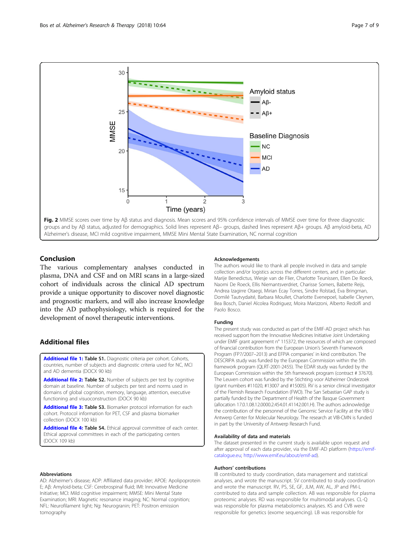<span id="page-6-0"></span>

## Conclusion

The various complementary analyses conducted in plasma, DNA and CSF and on MRI scans in a large-sized cohort of individuals across the clinical AD spectrum provide a unique opportunity to discover novel diagnostic and prognostic markers, and will also increase knowledge into the AD pathophysiology, which is required for the development of novel therapeutic interventions.

## Additional files

[Additional file 1:](https://doi.org/10.1186/s13195-018-0396-5) Table S1. Diagnostic criteria per cohort. Cohorts, countries, number of subjects and diagnostic criteria used for NC, MCI and AD dementia (DOCX 90 kb)

[Additional file 2:](https://doi.org/10.1186/s13195-018-0396-5) Table S2. Number of subjects per test by cognitive domain at baseline. Number of subjects per test and norms used in domains of global cognition, memory, language, attention, executive functioning and visuoconstruction (DOCX 90 kb)

[Additional file 3:](https://doi.org/10.1186/s13195-018-0396-5) Table S3. Biomarker protocol information for each cohort. Protocol information for PET, CSF and plasma biomarker collection (DOCX 100 kb)

[Additional file 4:](https://doi.org/10.1186/s13195-018-0396-5) Table S4. Ethical approval committee of each center. Ethical approval committees in each of the participating centers (DOCX 109 kb)

#### Abbreviations

AD: Alzheimer's disease; ADP: Affiliated data provider; APOE: Apolipoprotein E; Aβ: Amyloid-beta; CSF: Cerebrospinal fluid; IMI: Innovative Medicine Initiative; MCI: Mild cognitive impairment; MMSE: Mini Mental State Examination; MRI: Magnetic resonance imaging; NC: Normal cognition; NFL: Neurofilament light; Ng: Neurogranin; PET: Positron emission tomography

#### Acknowledgements

The authors would like to thank all people involved in data and sample collection and/or logistics across the different centers, and in particular: Marije Benedictus, Wiesje van de Flier, Charlotte Teunissen, Ellen De Roeck, Naomi De Roeck, Ellis Niemantsverdriet, Charisse Somers, Babette Reijs, Andrea Izagirre Otaegi, Mirian Ecay Torres, Sindre Rolstad, Eva Bringman, Domilé Tautvydaité, Barbara Moullet, Charlotte Evenepoel, Isabelle Cleynen, Bea Bosch, Daniel Alcolea Rodriguez, Moira Marizzoni, Alberto Redolfi and Paolo Bosco.

#### Funding

The present study was conducted as part of the EMIF-AD project which has received support from the Innovative Medicines Initiative Joint Undertaking under EMIF grant agreement n° 115372, the resources of which are composed of financial contribution from the European Union's Seventh Framework Program (FP7/2007–2013) and EFPIA companies' in kind contribution. The DESCRIPA study was funded by the European Commission within the 5th framework program (QLRT-2001-2455). The EDAR study was funded by the European Commission within the 5th framework program (contract # 37670). The Leuven cohort was funded by the Stichting voor Alzheimer Onderzoek (grant numbers #11020, #13007 and #15005). RV is a senior clinical investigator of the Flemish Research Foundation (FWO). The San Sebastian GAP study is partially funded by the Department of Health of the Basque Government (allocation 17.0.1.08.12.0000.2.454.01.41142.001.H). The authors acknowledge the contribution of the personnel of the Genomic Service Facility at the VIB-U Antwerp Center for Molecular Neurology. The research at VIB-CMN is funded in part by the University of Antwerp Research Fund.

#### Availability of data and materials

The dataset presented in the current study is available upon request and after approval of each data provider, via the EMIF-AD platform [\(https://emif](https://emif-catalogue.eu)[catalogue.eu;](https://emif-catalogue.eu) [http://www.emif.eu/about/emif-ad](http://www.emif.eu/about/emif-ad))).

#### Authors' contributions

IB contributed to study coordination, data management and statistical analyses, and wrote the manuscript. SV contributed to study coordination and wrote the manuscript. RV, PS, SE, GF, JLM, AW, AL, JP and PM-L contributed to data and sample collection. AB was responsible for plasma proteomic analyses. RD was responsible for multimodal analyses. CL-Q was responsible for plasma metabolomics analyses. KS and CVB were responsible for genetics (exome sequencing). LB was responsible for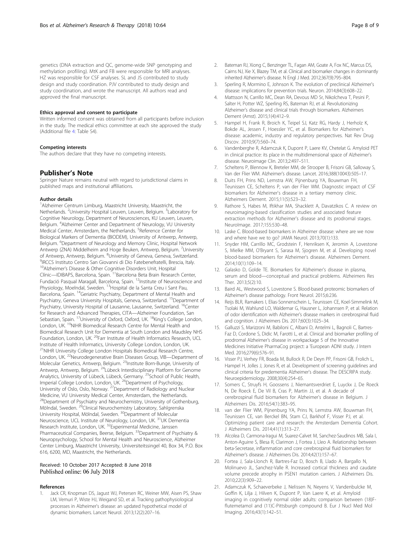<span id="page-7-0"></span>genetics (DNA extraction and QC, genome-wide SNP genotyping and methylation profiling). MtK and FB were responsible for MRI analyses. HZ was responsible for CSF analyses. SL and JS contributed to study design and study coordination. PJV contributed to study design and study coordination, and wrote the manuscript. All authors read and approved the final manuscript.

#### Ethics approval and consent to participate

Written informed consent was obtained from all participants before inclusion in the study. The medical ethics committee at each site approved the study (Additional file [4](#page-6-0): Table S4).

#### Competing interests

The authors declare that they have no competing interests.

#### Publisher's Note

Springer Nature remains neutral with regard to jurisdictional claims in published maps and institutional affiliations.

#### Author details

1 Alzheimer Centrum Limburg, Maastricht University, Maastricht, the Netherlands. <sup>2</sup>University Hospital Leuven, Leuven, Belgium. <sup>3</sup>Laboratory for Cognitive Neurology, Department of Neurosciences, KU Leuven, Leuven, Belgium. <sup>4</sup> Alzheimer Center and Department of Neurology, VU University Medical Center, Amsterdam, the Netherlands. <sup>5</sup>Reference Center for Biological Markers of Dementia (BIODEM), University of Antwerp, Antwerp, Belgium. <sup>6</sup>Department of Neurology and Memory Clinic, Hospital Network Antwerp (ZNA) Middelheim and Hoge Beuken, Antwerp, Belgium. <sup>7</sup>University of Antwerp, Antwerp, Belgium. <sup>8</sup>University of Geneva, Geneva, Switzerland.<br><sup>9</sup>IPCCS Institute Contro San Giovanni di Dio Eatobonofratelli. Broscia. Italy <sup>9</sup>IRCCS Instituto Centro San Giovanni di Dio Fatebenefratelli, Brescia, Italy. 10Alzheimer's Disease & Other Cognitive Disorders Unit, Hospital Clínic—IDIBAPS, Barcelona, Spain. <sup>11</sup>Barcelona Beta Brain Research Center, Fundació Pasqual Maragall, Barcelona, Spain. 12Institute of Neuroscience and Physiology, Moelndal, Sweden. 13Hospital de la Santa Creu i Sant Pau, Barcelona, Spain. 14Geriatric Psychiatry, Department of Mental Health and Psychiatry, Geneva University Hospitals, Geneva, Switzerland. <sup>15</sup>Department of Psychiatry, University Hospital of Lausanne, Lausanne, Switzerland. <sup>16</sup>Center for Research and Advanced Therapies, CITA—Alzheimer Foundation, San Sebastian, Spain. <sup>17</sup>University of Oxford, Oxford, UK. <sup>18</sup>King's College London, London, UK. <sup>19</sup>NIHR Biomedical Research Centre for Mental Health and Biomedical Research Unit for Dementia at South London and Maudsley NHS Foundation, London, UK. <sup>20</sup>Farr Institute of Health Informatics Research, UCL Institute of Health Informatics, University College London, London, UK. <sup>21</sup>NIHR University College London Hospitals Biomedical Research Centre, London, UK.<sup>22</sup>Neurodegenerative Brain Diseases Group, VIB-Department of Molecular Genetics, Antwerp, Belgium. <sup>23</sup>Institute Born-Bunge, University of Antwerp, Antwerp, Belgium.<sup>24</sup>Lübeck Interdisciplinary Platform for Genome Analytics, University of Lübeck, Lübeck, Germany. <sup>25</sup>School of Public Health, Imperial College London, London, UK. <sup>26</sup>Department of Psychology, University of Oslo, Oslo, Norway. 27Department of Radiology and Nuclear Medicine, VU University Medical Center, Amsterdam, the Netherlands. <sup>28</sup>Department of Psychiatry and Neurochemistry, University of Gothenburg, Mölndal, Sweden. <sup>29</sup>Clinical Neurochemistry Laboratory, Sahlgrenska University Hospital, Mölndal, Sweden. 30Department of Molecular Neuroscience, UCL Institute of Neurology, London, UK.<sup>31</sup>UK Dementia Research Institute, London, UK. <sup>32</sup>Experimental Medicine, Janssen Pharmaceutical Companies, Beerse, Belgium. <sup>33</sup>Department of Psychiatry & Neuropsychology, School for Mental Health and Neuroscience, Alzheimer Center Limburg, Maastricht University, Universiteitssingel 40, Box 34, P.O. Box 616, 6200, MD, Maastricht, the Netherlands.

#### Received: 10 October 2017 Accepted: 8 June 2018 Published online: 06 July 2018

#### References

1. Jack CR, Knopman DS, Jagust WJ, Petersen RC, Weiner MW, Aisen PS, Shaw LM, Vemuri P, Wiste HJ, Weigand SD, et al. Tracking pathophysiological processes in Alzheimer's disease: an updated hypothetical model of dynamic biomarkers. Lancet Neurol. 2013;12(2):207–16.

- 2. Bateman RJ, Xiong C, Benzinger TL, Fagan AM, Goate A, Fox NC, Marcus DS, Cairns NJ, Xie X, Blazey TM, et al. Clinical and biomarker changes in dominantly inherited Alzheimer's disease. N Engl J Med. 2012;367(9):795–804.
- 3. Sperling R, Mormino E, Johnson K. The evolution of preclinical Alzheimer's disease: implications for prevention trials. Neuron. 2014;84(3):608–22.
- 4. Mattsson N, Carrillo MC, Dean RA, Devous MD Sr, Nikolcheva T, Pesini P, Salter H, Potter WZ, Sperling RS, Bateman RJ, et al. Revolutionizing Alzheimer's disease and clinical trials through biomarkers. Alzheimers Dement (Amst). 2015;1(4):412–9.
- 5. Hampel H, Frank R, Broich K, Teipel SJ, Katz RG, Hardy J, Herholz K, Bokde AL, Jessen F, Hoessler YC, et al. Biomarkers for Alzheimer's disease: academic, industry and regulatory perspectives. Nat Rev Drug Discov. 2010;9(7):560–74.
- 6. Vandenberghe R, Adamczuk K, Dupont P, Laere KV, Chetelat G. Amyloid PET in clinical practice: its place in the multidimensional space of Alzheimer's disease. Neuroimage Clin. 2013;2:497–511.
- 7. Scheltens P, Blennow K, Breteler MM, de Strooper B, Frisoni GB, Salloway S, Van der Flier WM. Alzheimer's disease. Lancet. 2016;388(10043):505–17.
- Duits FH, Prins ND, Lemstra AW, Pijnenburg YA, Bouwman FH, Teunissen CE, Scheltens P, van der Flier WM. Diagnostic impact of CSF biomarkers for Alzheimer's disease in a tertiary memory clinic. Alzheimers Dement. 2015;11(5):523–32.
- 9. Rathore S, Habes M, Iftikhar MA, Shacklett A, Davatzikos C. A review on neuroimaging-based classification studies and associated feature extraction methods for Alzheimer's disease and its prodromal stages. NeuroImage. 2017;155:530–48.
- 10. Laske C. Blood-based biomarkers in Alzheimer disease: where are we now and where have we to go? JAMA Neurol. 2013;70(1):133.
- 11. Snyder HM, Carrillo MC, Grodstein F, Henriksen K, Jeromin A, Lovestone S, Mielke MM, O'Bryant S, Sarasa M, Sjogren M, et al. Developing novel blood-based biomarkers for Alzheimer's disease. Alzheimers Dement. 2014;10(1):109–14.
- 12. Galasko D, Golde TE. Biomarkers for Alzheimer's disease in plasma, serum and blood—conceptual and practical problems. Alzheimers Res Ther. 2013;5(2):10.
- 13. Baird AL, Westwood S, Lovestone S. Blood-based proteomic biomarkers of Alzheimer's disease pathology. Front Neurol. 2015;6:236.
- 14. Reijs BLR, Ramakers I, Elias-Sonnenschein L, Teunissen CE, Koel-Simmelink M, Tsolaki M, Wahlund LO, Waldemar G, Hausner L, Johannsen P, et al. Relation of odor identification with Alzheimer's disease markers in cerebrospinal fluid and cognition. J Alzheimers Dis. 2017;60(3):1025–34.
- 15. Galluzzi S, Marizzoni M, Babiloni C, Albani D, Antelmi L, Bagnoli C, Bartres-Faz D, Cordone S, Didic M, Farotti L, et al. Clinical and biomarker profiling of prodromal Alzheimer's disease in workpackage 5 of the Innovative Medicines Initiative PharmaCog project: a 'European ADNI study. J Intern Med. 2016;279(6):576–91.
- 16. Visser PJ, Verhey FR, Boada M, Bullock R, De Deyn PP, Frisoni GB, Frolich L, Hampel H, Jolles J, Jones R, et al. Development of screening guidelines and clinical criteria for predementia Alzheimer's disease. The DESCRIPA study. Neuroepidemiology. 2008;30(4):254–65.
- 17. Somers C, Struyfs H, Goossens J, Niemantsverdriet E, Luyckx J, De Roeck N, De Roeck E, De Vil B, Cras P, Martin JJ, et al. A decade of cerebrospinal fluid biomarkers for Alzheimer's disease in Belgium. J Alzheimers Dis. 2016;54(1):383–95.
- 18. van der Flier WM, Pijnenburg YA, Prins N, Lemstra AW, Bouwman FH, Teunissen CE, van Berckel BN, Stam CJ, Barkhof F, Visser PJ, et al. Optimizing patient care and research: the Amsterdam Dementia Cohort. J Alzheimers Dis. 2014;41(1):313–27.
- 19. Alcolea D, Carmona-Iragui M, Suarez-Calvet M, Sanchez-Saudinos MB, Sala I, Anton-Aguirre S, Blesa R, Clarimon J, Fortea J, Lleo A. Relationship between beta-Secretase, inflammation and core cerebrospinal fluid biomarkers for Alzheimer's disease. J Alzheimers Dis. 2014;42(1):157–67.
- 20. Fortea J, Sala-Llonch R, Bartres-Faz D, Bosch B, Llado A, Bargallo N, Molinuevo JL, Sanchez-Valle R. Increased cortical thickness and caudate volume precede atrophy in PSEN1 mutation carriers. J Alzheimers Dis. 2010;22(3):909–22.
- 21. Adamczuk K, Schaeverbeke J, Nelissen N, Neyens V, Vandenbulcke M, Goffin K, Lilja J, Hilven K, Dupont P, Van Laere K, et al. Amyloid imaging in cognitively normal older adults: comparison between (18)Fflutemetamol and (11)C-Pittsburgh compound B. Eur J Nucl Med Mol Imaging. 2016;43(1):142–51.